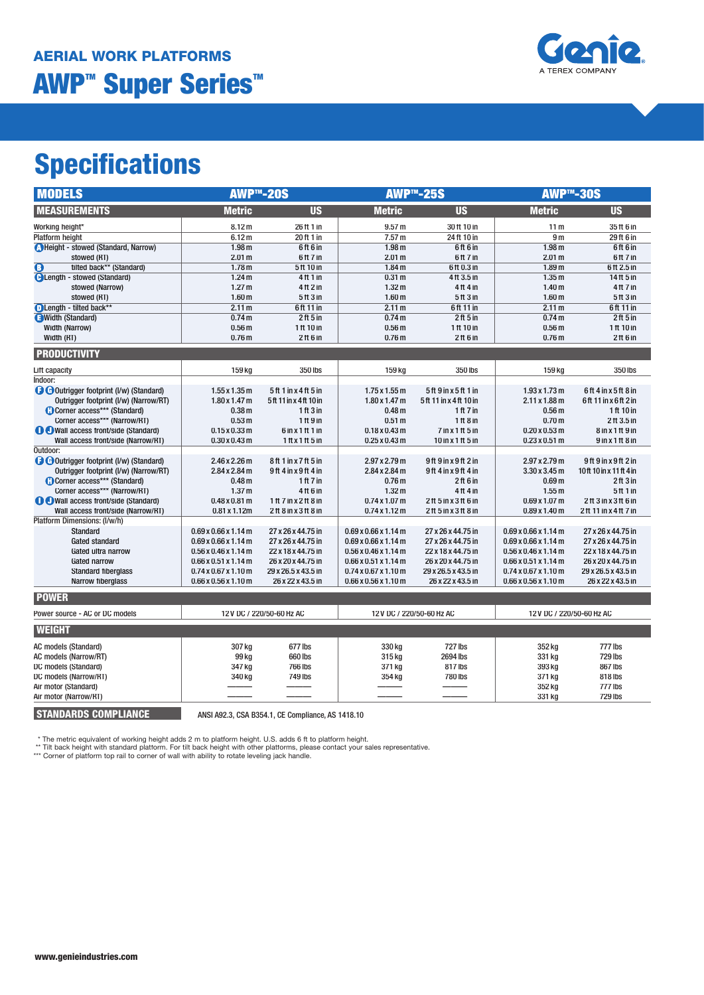

# **Specifications**

| <b>MODELS</b>                                       | <b>AWP™-20S</b>                                      |                                          |                                                                | <b>AWP™-25S</b>                          | <b>AWP™-30S</b>                                            |                                          |
|-----------------------------------------------------|------------------------------------------------------|------------------------------------------|----------------------------------------------------------------|------------------------------------------|------------------------------------------------------------|------------------------------------------|
| <b>MEASUREMENTS</b>                                 | <b>Metric</b>                                        | <b>US</b>                                | <b>Metric</b>                                                  | <b>US</b>                                | <b>Metric</b>                                              | <b>US</b>                                |
| Working height*                                     | 8.12 m                                               | 26 ft 1 in                               | 9.57 <sub>m</sub>                                              | 30 ft 10 in                              | 11 <sub>m</sub>                                            | 35 ft 6 in                               |
| Platform height                                     | 6.12 <sub>m</sub>                                    | 20 ft 1 in                               | 7.57 <sub>m</sub>                                              | 24 ft 10 in                              | 9 <sub>m</sub>                                             | 29 ft 6 in                               |
| Height - stowed (Standard, Narrow)                  | 1.98 <sub>m</sub>                                    | 6ft 6in                                  | 1.98 <sub>m</sub>                                              | 6ft 6 in                                 | 1.98 <sub>m</sub>                                          | 6ft 6 in                                 |
| stowed (RT)                                         | 2.01 <sub>m</sub>                                    | 6ft 7 in                                 | 2.01 <sub>m</sub>                                              | 6ft 7 in                                 | 2.01 <sub>m</sub>                                          | 6ft 7 in                                 |
| $\overline{\mathbf{O}}$<br>tilted back** (Standard) | 1.78 <sub>m</sub>                                    | 5 ft 10 in                               | 1.84 <sub>m</sub>                                              | 6 ft 0.3 in                              | 1.89 <sub>m</sub>                                          | 6ft 2.5 in                               |
| <b>C</b> Length - stowed (Standard)                 | 1.24 <sub>m</sub>                                    | 4 ft 1 in                                | 0.31 <sub>m</sub>                                              | 4 ft 3.5 in                              | 1.35 <sub>m</sub>                                          | 14 ft 5 in                               |
| stowed (Narrow)                                     | 1.27 <sub>m</sub>                                    | 4 ft 2 in                                | 1.32 <sub>m</sub>                                              | 4 ft 4 in                                | 1.40 <sub>m</sub>                                          | 4 ft 7 in                                |
| stowed (RT)                                         | 1.60 <sub>m</sub>                                    | 5 ft 3 in                                | 1.60 <sub>m</sub>                                              | 5 ft 3 in                                | 1.60 <sub>m</sub>                                          | 5 ft 3 in                                |
| DLength - tilted back**                             | 2.11 <sub>m</sub>                                    | 6 ft 11 in                               | 2.11 <sub>m</sub>                                              | 6ft 11 in                                | 2.11 <sub>m</sub>                                          | 6ft 11 in                                |
| <b>a</b> Width (Standard)                           | 0.74 <sub>m</sub>                                    | 2ft 5in                                  | 0.74 <sub>m</sub>                                              | 2ft 5in                                  | 0.74 <sub>m</sub>                                          | 2ft 5in                                  |
| <b>Width (Narrow)</b>                               | 0.56 <sub>m</sub>                                    | 1 ft 10 in                               | 0.56 <sub>m</sub>                                              | 1 ft 10 in                               | 0.56 <sub>m</sub>                                          | 1 ft 10 in                               |
| Width (RT)                                          | 0.76 <sub>m</sub>                                    | $2$ ft 6 in                              | 0.76 <sub>m</sub>                                              | $2$ ft 6 in                              | 0.76 <sub>m</sub>                                          | $2$ ft 6 in                              |
| <b>PRODUCTIVITY</b>                                 |                                                      |                                          |                                                                |                                          |                                                            |                                          |
| Lift capacity                                       | 159 kg                                               | 350 lbs                                  | 159 kg                                                         | 350 lbs                                  | 159 kg                                                     | 350 lbs                                  |
| Indoor:                                             |                                                      |                                          |                                                                |                                          |                                                            |                                          |
| <b>O</b> Outrigger footprint (I/w) (Standard)       | $1.55 \times 1.35$ m                                 | 5ft 1 in x 4 ft 5 in                     | $1.75 \times 1.55$ m                                           | 5ft 9 in x 5ft 1 in                      | $1.93 \times 1.73 \text{ m}$                               | 6ft 4 in x 5ft 8 in                      |
| Outrigger footprint (I/w) (Narrow/RT)               | $1.80 \times 1.47$ m                                 | 5ft 11 in x 4ft 10 in                    | $1.80 \times 1.47$ m                                           | 5ft 11 in x 4 ft 10 in                   | $2.11 \times 1.88$ m                                       | 6ft 11 in x 6ft 2 in                     |
| Corner access*** (Standard)                         | 0.38 <sub>m</sub>                                    | 1 ft 3 in                                | 0.48 <sub>m</sub>                                              | 1 ft 7 in                                | 0.56 <sub>m</sub>                                          | 1 ft 10 in                               |
| Corner access*** (Narrow/RT)                        | 0.53 <sub>m</sub>                                    | 1ft9in                                   | 0.51 <sub>m</sub>                                              | 1 ft 8 in                                | 0.70 <sub>m</sub>                                          | 2ft 3.5 in                               |
| <b>O</b> O Wall access front/side (Standard)        | $0.15 \times 0.33$ m                                 | $6$ in x 1 ft 1 in                       | $0.18 \times 0.43$ m                                           | $7$ in x 1 ft 5 in                       | $0.20 \times 0.53$ m                                       | $8$ in x 1 ft $9$ in                     |
| Wall access front/side (Narrow/RT)                  | $0.30 \times 0.43$ m                                 | $1$ ft x 1 ft $5$ in                     | $0.25 \times 0.43$ m                                           | 10 in x 1 ft 5 in                        | $0.23 \times 0.51$ m                                       | $9$ in x 1 ft $8$ in                     |
| Outdoor:                                            |                                                      |                                          |                                                                |                                          |                                                            |                                          |
| <b>O</b> Outrigger footprint (I/w) (Standard)       | $2.46 \times 2.26$ m                                 | 8ft 1 in x 7 ft 5 in                     | $2.97 \times 2.79 \text{ m}$                                   | 9ft 9 in x 9ft 2 in                      | $2.97 \times 2.79 \text{ m}$                               | 9ft 9 in x 9ft 2 in                      |
| Outrigger footprint (I/w) (Narrow/RT)               | 2.84 x 2.84 m                                        | 9ft 4 in x 9ft 4 in                      | $2.84 \times 2.84$ m                                           | 9ft 4 in x 9ft 4 in                      | $3.30 \times 3.45$ m                                       | 10ft 10in x 11 ft 4 in                   |
| Corner access*** (Standard)                         | 0.48 <sub>m</sub>                                    | 1 ft $7$ in                              | 0.76 <sub>m</sub>                                              | $2$ ft 6 in                              | 0.69 <sub>m</sub>                                          | $2$ ft $3$ in                            |
| Corner access*** (Narrow/RT)                        | 1.37 <sub>m</sub>                                    | 4 ft 6 in                                | 1.32 <sub>m</sub>                                              | 4 ft 4 in                                | 1.55 <sub>m</sub>                                          | 5 ft 1 in                                |
| <b>O</b> Wall access front/side (Standard)          | $0.48 \times 0.81$ m                                 | 1ft 7 in x 2 ft 8 in                     | $0.74 \times 1.07$ m                                           | 2ft 5 in x 3 ft 6 in                     | $0.69 \times 1.07$ m                                       | 2ft 3 in x 3 ft 6 in                     |
| Wall access front/side (Narrow/RT)                  | $0.81 \times 1.12$ m                                 | 2ft 8 in x 3 ft 8 in                     | $0.74 \times 1.12 \text{ m}$                                   | 2ft 5 in x 3 ft 8 in                     | $0.89 \times 1.40$ m                                       | 2ft 11 in x 4 ft 7 in                    |
| Platform Dimensions: (I/w/h)                        |                                                      |                                          |                                                                |                                          |                                                            |                                          |
| <b>Standard</b>                                     | $0.69 \times 0.66 \times 1.14$ m                     | 27 x 26 x 44.75 in                       | $0.69 \times 0.66 \times 1.14$ m                               | 27 x 26 x 44.75 in                       | $0.69 \times 0.66 \times 1.14$ m                           | 27 x 26 x 44.75 in                       |
| <b>Gated standard</b>                               | $0.69 \times 0.66 \times 1.14$ m                     | 27 x 26 x 44.75 in                       | $0.69 \times 0.66 \times 1.14$ m                               | 27 x 26 x 44.75 in                       | $0.69 \times 0.66 \times 1.14$ m                           | 27 x 26 x 44.75 in                       |
| Gated ultra narrow<br>Gated narrow                  | $0.56$ x 0.46 x 1.14 m<br>$0.66$ x $0.51$ x $1.14$ m | 22 x 18 x 44.75 in<br>26 x 20 x 44.75 in | $0.56$ x $0.46$ x $1.14$ m<br>$0.66 \times 0.51 \times 1.14$ m | 22 x 18 x 44.75 in<br>26 x 20 x 44.75 in | $0.56$ x 0.46 x 1.14 m<br>$0.66 \times 0.51 \times 1.14$ m | 22 x 18 x 44.75 in<br>26 x 20 x 44.75 in |
| <b>Standard fiberglass</b>                          | $0.74 \times 0.67 \times 1.10$ m                     | 29 x 26.5 x 43.5 in                      | $0.74 \times 0.67 \times 1.10$ m                               | 29 x 26.5 x 43.5 in                      | $0.74 \times 0.67 \times 1.10$ m                           | 29 x 26.5 x 43.5 in                      |
| Narrow fiberglass                                   | $0.66$ x $0.56$ x $1.10$ m                           | 26 x 22 x 43.5 in                        | $0.66$ x $0.56$ x $1.10$ m                                     | 26 x 22 x 43.5 in                        | $0.66$ x $0.56$ x $1.10$ m                                 | 26 x 22 x 43.5 in                        |
|                                                     |                                                      |                                          |                                                                |                                          |                                                            |                                          |
| <b>POWER</b>                                        |                                                      |                                          |                                                                |                                          |                                                            |                                          |
| Power source - AC or DC models                      |                                                      | 12 V DC / 220/50-60 Hz AC                |                                                                | 12V DC / 220/50-60 Hz AC                 | 12V DC / 220/50-60 Hz AC                                   |                                          |
| <b>WEIGHT</b>                                       |                                                      |                                          |                                                                |                                          |                                                            |                                          |
| AC models (Standard)                                | 307 kg                                               | 677 lbs                                  | 330 kg                                                         | <b>727 lbs</b>                           | 352 kg                                                     | 777 lbs                                  |
| <b>AC models (Narrow/RT)</b>                        | 99 kg                                                | 660 lbs                                  | 315 kg                                                         | 2694 lbs                                 | 331 kg                                                     | <b>729 lbs</b>                           |
| DC models (Standard)                                | 347 kg                                               | <b>766 lbs</b>                           | 371 kg                                                         | 817 lbs                                  | 393 kg                                                     | 867 lbs                                  |
| DC models (Narrow/RT)                               | 340 kg                                               | <b>749 lbs</b>                           | 354 kg                                                         | <b>780 lbs</b>                           | 371 kg                                                     | 818 lbs                                  |
| Air motor (Standard)                                |                                                      |                                          |                                                                |                                          | 352 kg                                                     | 777 lbs                                  |
| Air motor (Narrow/RT)                               |                                                      |                                          |                                                                |                                          | 331 kg                                                     | <b>729 lbs</b>                           |
|                                                     |                                                      |                                          |                                                                |                                          |                                                            |                                          |

**STANDARDS COMPLIANCE** ANSI A92.3, CSA B354.1, CE Compliance, AS 1418.10

\* The metric equivalent of working height adds 2 m to platform height. U.S. adds 6 ft to platform height.<br>\*\* Tilt back height with standard platform. For tilt back height with other platforms, please contact your sales rep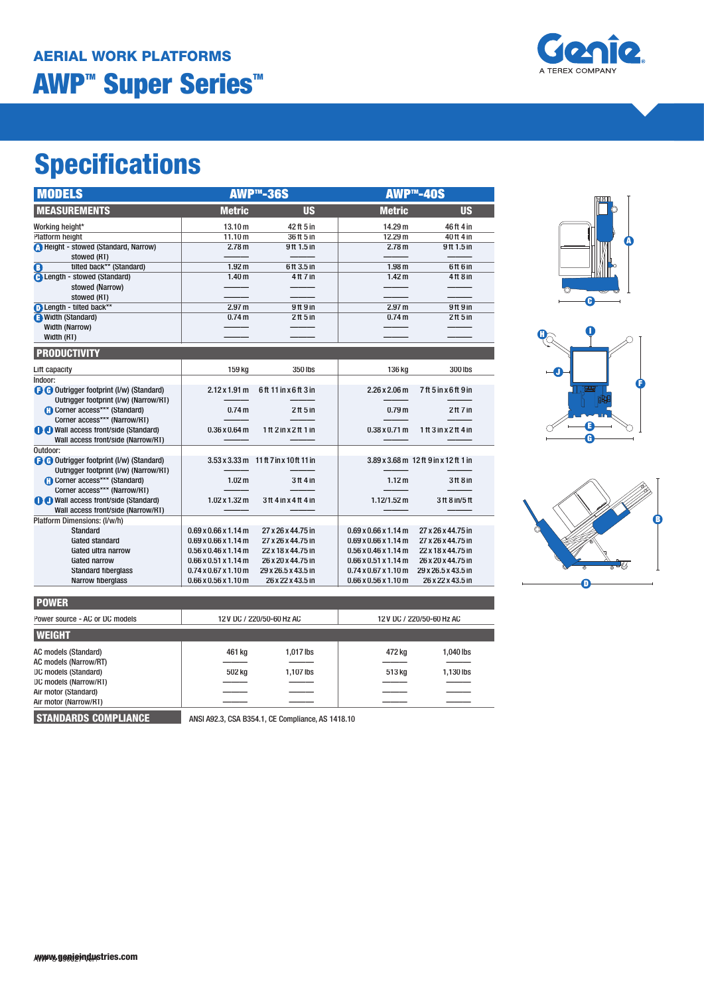# **Specifications**

| <b>MODELS</b>                                                                            |                                          | <b>AWP™-36S</b>                        | AWP <sup>™</sup> -40S            |                                       |
|------------------------------------------------------------------------------------------|------------------------------------------|----------------------------------------|----------------------------------|---------------------------------------|
| <b>MEASUREMENTS</b>                                                                      | <b>Metric</b>                            | <b>US</b>                              | <b>Metric</b>                    | <b>US</b>                             |
| Working height*                                                                          | 13.10 m                                  | 42 ft 5 in                             | 14.29 m                          | 46ft 4 in                             |
| <b>Platform height</b>                                                                   | 11.10 m                                  | 36 ft 5 in                             | 12.29 <sub>m</sub>               | 40 ft 4 in                            |
| Height - stowed (Standard, Narrow)<br>stowed (RT)                                        | 2.78 <sub>m</sub>                        | 9ft 1.5 in                             | 2.78 <sub>m</sub>                | 9ft 1.5 in                            |
| tilted back** (Standard)<br>O                                                            | 1.92 <sub>m</sub>                        | 6ft 3.5 in                             | 1.98 <sub>m</sub>                | 6ft 6 in                              |
| <b>A</b> Length - stowed (Standard)<br>stowed (Narrow)<br>stowed (RT)                    | 1.40 <sub>m</sub>                        | 4 ft 7 in                              | 1.42 <sub>m</sub>                | $4$ ft $8$ in                         |
| Length - tilted back**                                                                   | 2.97 <sub>m</sub>                        | 9ft 9 in                               | 2.97 <sub>m</sub>                | 9ft 9 in                              |
| <b>B</b> Width (Standard)                                                                | 0.74 <sub>m</sub>                        | $2$ ft 5 in                            | 0.74 <sub>m</sub>                | $2$ ft 5 in                           |
| <b>Width (Narrow)</b>                                                                    |                                          |                                        |                                  |                                       |
| Width (RT)                                                                               |                                          |                                        |                                  |                                       |
| <b>PRODUCTIVITY</b>                                                                      |                                          |                                        |                                  |                                       |
| Lift capacity                                                                            | 159 kg                                   | 350 lbs                                | 136 kg                           | 300 lbs                               |
| Indoor:                                                                                  |                                          |                                        |                                  |                                       |
| <b>O</b> Outrigger footprint (I/w) (Standard)<br>Outrigger footprint (I/w) (Narrow/RT)   | $2.12 \times 1.91 \text{ m}$             | 6ft 11 in x 6ft 3 in                   | $2.26 \times 2.06 \text{ m}$     | 7ft 5 in x 6 ft 9 in                  |
| <b>Corner access*** (Standard)</b>                                                       | 0.74 <sub>m</sub>                        | $2$ ft 5 in                            | 0.79 <sub>m</sub>                | 2 <sup>ft</sup> 7 <sup>in</sup>       |
| Corner access*** (Narrow/RT)                                                             |                                          |                                        |                                  |                                       |
| <b>O</b> Wall access front/side (Standard)                                               | $0.36 \times 0.64$ m                     | 1ft $2$ in $x$ $2$ ft $1$ in           | $0.38 \times 0.71$ m             | 1ft $3$ in $x$ $2$ ft $4$ in          |
| Wall access front/side (Narrow/RT)                                                       |                                          |                                        |                                  |                                       |
| Outdoor:                                                                                 |                                          |                                        |                                  |                                       |
| <b>a a</b> Outrigger footprint (I/w) (Standard)<br>Outrigger footprint (I/w) (Narrow/RT) |                                          | 3.53 x 3.33 m 11 ft 7 in x 10 ft 11 in |                                  | 3.89 x 3.68 m 12 ft 9 in x 12 ft 1 in |
| <b>Corner access*** (Standard)</b>                                                       | 1.02 <sub>m</sub>                        | $3ft$ 4 in                             | 1.12 <sub>m</sub>                | 3 <sup>ft</sup> 8 <sup>in</sup>       |
| Corner access*** (Narrow/RT)                                                             |                                          |                                        |                                  |                                       |
| <b>O</b> Wall access front/side (Standard)<br>Wall access front/side (Narrow/RT)         | $1.02 \times 1.32 \text{ m}$             | 3ft 4 in x 4 ft 4 in                   | $1.12/1.52 \text{ m}$            | 3 ft 8 in/5 ft                        |
| Platform Dimensions: (I/w/h)                                                             |                                          |                                        |                                  |                                       |
| <b>Standard</b>                                                                          | $0.69 \times 0.66 \times 1.14 \text{ m}$ | 27 x 26 x 44.75 in                     | $0.69 \times 0.66 \times 1.14$ m | 27 x 26 x 44.75 in                    |
| <b>Gated standard</b>                                                                    | $0.69 \times 0.66 \times 1.14$ m         | 27 x 26 x 44.75 in                     | $0.69 \times 0.66 \times 1.14$ m | 27 x 26 x 44.75 in                    |
| Gated ultra narrow                                                                       | $0.56 \times 0.46 \times 1.14$ m         | 22 x 18 x 44.75 in                     | $0.56 \times 0.46 \times 1.14$ m | 22 x 18 x 44.75 in                    |
| <b>Gated narrow</b>                                                                      | $0.66 \times 0.51 \times 1.14$ m         | 26 x 20 x 44.75 in                     | $0.66 \times 0.51 \times 1.14$ m | 26 x 20 x 44.75 in                    |
| <b>Standard fiberglass</b>                                                               | $0.74 \times 0.67 \times 1.10$ m         | 29 x 26.5 x 43.5 in                    | $0.74 \times 0.67 \times 1.10$ m | 29 x 26.5 x 43.5 in                   |
| <b>Narrow fiberglass</b>                                                                 | $0.66 \times 0.56 \times 1.10$ m         | 26 x 22 x 43.5 in                      | $0.66 \times 0.56 \times 1.10$ m | 26 x 22 x 43.5 in                     |
|                                                                                          |                                          |                                        |                                  |                                       |







**STANDARDS COMPLIANCE** ANSI A92.3, CSA B354.1, CE Compliance, AS 1418.10

| <b>POWER</b>                   |                          |           |                           |           |  |
|--------------------------------|--------------------------|-----------|---------------------------|-----------|--|
| Power source - AC or DC models | 12V DC / 220/50-60 Hz AC |           | 12 V DC / 220/50-60 Hz AC |           |  |
| <b>WEIGHT</b>                  |                          |           |                           |           |  |
| AC models (Standard)           | 461 kg                   | 1,017 lbs | 472 ka                    | 1,040 lbs |  |
| <b>AC models (Narrow/RT)</b>   |                          |           |                           |           |  |
| DC models (Standard)           | 502 kg                   | 1,107 lbs | 513 kg                    | 1,130 lbs |  |
| DC models (Narrow/RT)          |                          |           |                           |           |  |
| Air motor (Standard)           |                          |           |                           |           |  |
| Air motor (Narrow/RT)          |                          |           |                           |           |  |

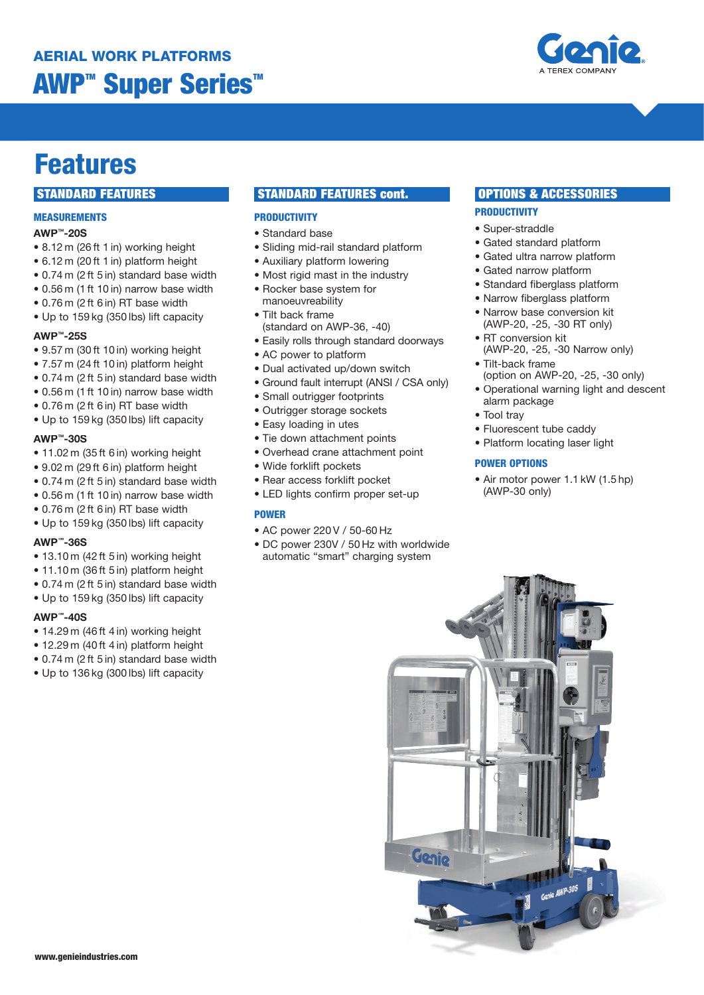

# **Features**

# **MEASUREMENTS**

# **AWP™-20S**

- 8.12 m (26 ft 1 in) working height
- 6.12 m (20 ft 1 in) platform height
- 0.74 m (2 ft 5 in) standard base width
- 0.56 m (1 ft 10 in) narrow base width
- 0.76 m (2 ft 6 in) RT base width
- Up to 159 kg (350 lbs) lift capacity

#### **AWP™-25S**

- 9.57 m (30 ft 10 in) working height
- 7.57 m (24 ft 10 in) platform height
- 0.74 m (2 ft 5 in) standard base width
- 0.56 m (1 ft 10 in) narrow base width
- 0.76 m (2 ft 6 in) RT base width
- Up to 159 kg (350 lbs) lift capacity

# **AWP™-30S**

- 11.02 m (35 ft 6 in) working height
- 9.02 m (29 ft 6 in) platform height
- 0.74 m (2 ft 5 in) standard base width
- 0.56 m (1 ft 10 in) narrow base width
- 0.76 m (2 ft 6 in) RT base width
- Up to 159 kg (350 lbs) lift capacity

# **AWP™-36S**

- 13.10 m (42 ft 5 in) working height
- 11.10 m (36 ft 5 in) platform height
- 0.74 m (2 ft 5 in) standard base width
- Up to 159 kg (350 lbs) lift capacity

## **AWP™-40S**

- 14.29 m (46 ft 4 in) working height
- 12.29 m (40 ft 4 in) platform height
- 0.74 m (2 ft 5 in) standard base width
- Up to 136 kg (300 lbs) lift capacity

# **STANDARD FEATURES STANDARD FEATURES cont.**

# **PRODUCTIVITY**

- Standard base
- Sliding mid-rail standard platform
- Auxiliary platform lowering
- Most rigid mast in the industry
- Rocker base system for manoeuvreability
- Tilt back frame (standard on AWP-36, -40)
- Easily rolls through standard doorways
- AC power to platform
- Dual activated up/down switch
- Ground fault interrupt (ANSI / CSA only)
- Small outrigger footprints
- Outrigger storage sockets
- Easy loading in utes
- Tie down attachment points
- Overhead crane attachment point
- Wide forklift pockets
- Rear access forklift pocket
- LED lights confirm proper set-up

## **POWER**

- AC power 220 V / 50-60 Hz
- DC power 230V / 50 Hz with worldwide automatic "smart" charging system

# **OPTIONS & ACCESSORIES**

# **PRODUCTIVITY**

- Super-straddle
- Gated standard platform
- Gated ultra narrow platform
- Gated narrow platform
- Standard fiberglass platform
- Narrow fiberglass platform
- Narrow base conversion kit (AWP-20, -25, -30 RT only)
- RT conversion kit (AWP-20, -25, -30 Narrow only)
- Tilt-back frame (option on AWP-20, -25, -30 only)
- Operational warning light and descent alarm package
- Tool tray
- Fluorescent tube caddy
- Platform locating laser light

## **POWER OPTIONS**

• Air motor power 1.1 kW (1.5 hp) (AWP-30 only)